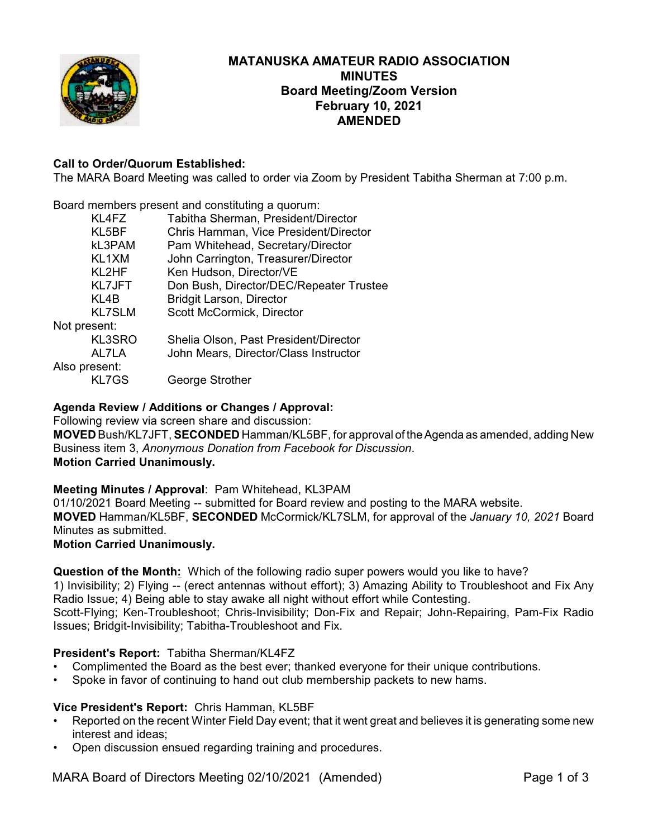

# **MATANUSKA AMATEUR RADIO ASSOCIATION MINUTES Board Meeting/Zoom Version February 10, 2021 AMENDED**

# **Call to Order/Quorum Established:**

The MARA Board Meeting was called to order via Zoom by President Tabitha Sherman at 7:00 p.m.

Board members present and constituting a quorum:

| KL4FZ         | Tabitha Sherman, President/Director     |
|---------------|-----------------------------------------|
| KL5BF         | Chris Hamman, Vice President/Director   |
| kL3PAM        | Pam Whitehead, Secretary/Director       |
| KL1XM         | John Carrington, Treasurer/Director     |
| KL2HF         | Ken Hudson, Director/VE                 |
| <b>KL7JFT</b> | Don Bush, Director/DEC/Repeater Trustee |
| KL4B          | <b>Bridgit Larson, Director</b>         |
| <b>KL7SLM</b> | Scott McCormick, Director               |
| Not present:  |                                         |
| KL3SRO        | Shelia Olson, Past President/Director   |
| AL7LA         | John Mears, Director/Class Instructor   |
| Also present: |                                         |
| <b>KL7GS</b>  | George Strother                         |
|               |                                         |

# **Agenda Review / Additions or Changes / Approval:**

Following review via screen share and discussion:

**MOVED** Bush/KL7JFT, **SECONDED** Hamman/KL5BF, for approval of theAgenda as amended, adding New Business item 3, *Anonymous Donation from Facebook for Discussion*. **Motion Carried Unanimously.**

# **Meeting Minutes / Approval**: Pam Whitehead, KL3PAM

01/10/2021 Board Meeting -- submitted for Board review and posting to the MARA website. **MOVED** Hamman/KL5BF, **SECONDED** McCormick/KL7SLM, for approval of the *January 10, 2021* Board Minutes as submitted.

# **Motion Carried Unanimously.**

**Question of the Month:** Which of the following radio super powers would you like to have?

1) Invisibility; 2) Flying -- (erect antennas without effort); 3) Amazing Ability to Troubleshoot and Fix Any Radio Issue; 4) Being able to stay awake all night without effort while Contesting. Scott-Flying; Ken-Troubleshoot; Chris-Invisibility; Don-Fix and Repair; John-Repairing, Pam-Fix Radio

Issues; Bridgit-Invisibility; Tabitha-Troubleshoot and Fix.

# **President's Report:** Tabitha Sherman/KL4FZ

- Complimented the Board as the best ever; thanked everyone for their unique contributions.
- Spoke in favor of continuing to hand out club membership packets to new hams.

# **Vice President's Report:** Chris Hamman, KL5BF

- Reported on the recent Winter Field Day event; that it went great and believes it is generating some new interest and ideas;
- Open discussion ensued regarding training and procedures.

MARA Board of Directors Meeting 02/10/2021 (Amended) Page 1 of 3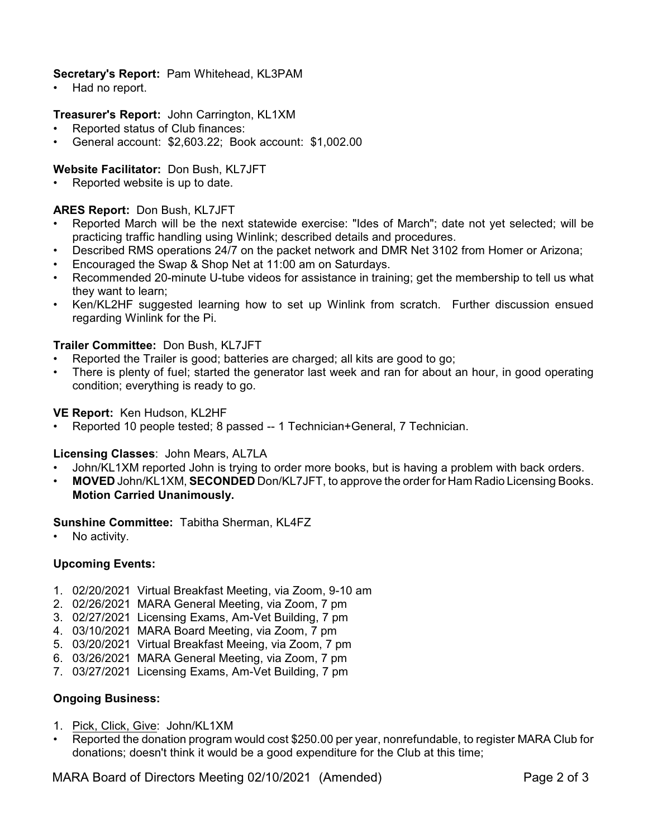# **Secretary's Report:** Pam Whitehead, KL3PAM

Had no report.

### **Treasurer's Report:** John Carrington, KL1XM

- Reported status of Club finances:
- General account: \$2,603.22; Book account: \$1,002.00

### **Website Facilitator:** Don Bush, KL7JFT

Reported website is up to date.

### **ARES Report:** Don Bush, KL7JFT

- Reported March will be the next statewide exercise: "Ides of March"; date not yet selected; will be practicing traffic handling using Winlink; described details and procedures.
- Described RMS operations 24/7 on the packet network and DMR Net 3102 from Homer or Arizona;
- Encouraged the Swap & Shop Net at 11:00 am on Saturdays.
- Recommended 20-minute U-tube videos for assistance in training; get the membership to tell us what they want to learn;
- Ken/KL2HF suggested learning how to set up Winlink from scratch. Further discussion ensued regarding Winlink for the Pi.

### **Trailer Committee:** Don Bush, KL7JFT

- Reported the Trailer is good; batteries are charged; all kits are good to go;
- There is plenty of fuel; started the generator last week and ran for about an hour, in good operating condition; everything is ready to go.

**VE Report:** Ken Hudson, KL2HF

• Reported 10 people tested; 8 passed -- 1 Technician+General, 7 Technician.

**Licensing Classes**: John Mears, AL7LA

- John/KL1XM reported John is trying to order more books, but is having a problem with back orders.
- **MOVED** John/KL1XM, **SECONDED** Don/KL7JFT, to approve the order for Ham Radio Licensing Books. **Motion Carried Unanimously.**

**Sunshine Committee:** Tabitha Sherman, KL4FZ

No activity.

# **Upcoming Events:**

- 1. 02/20/2021 Virtual Breakfast Meeting, via Zoom, 9-10 am
- 2. 02/26/2021 MARA General Meeting, via Zoom, 7 pm
- 3. 02/27/2021 Licensing Exams, Am-Vet Building, 7 pm
- 4. 03/10/2021 MARA Board Meeting, via Zoom, 7 pm
- 5. 03/20/2021 Virtual Breakfast Meeing, via Zoom, 7 pm
- 6. 03/26/2021 MARA General Meeting, via Zoom, 7 pm
- 7. 03/27/2021 Licensing Exams, Am-Vet Building, 7 pm

#### **Ongoing Business:**

- 1. Pick, Click, Give: John/KL1XM
- Reported the donation program would cost \$250.00 per year, nonrefundable, to register MARA Club for donations; doesn't think it would be a good expenditure for the Club at this time;

MARA Board of Directors Meeting 02/10/2021 (Amended) Page 2 of 3